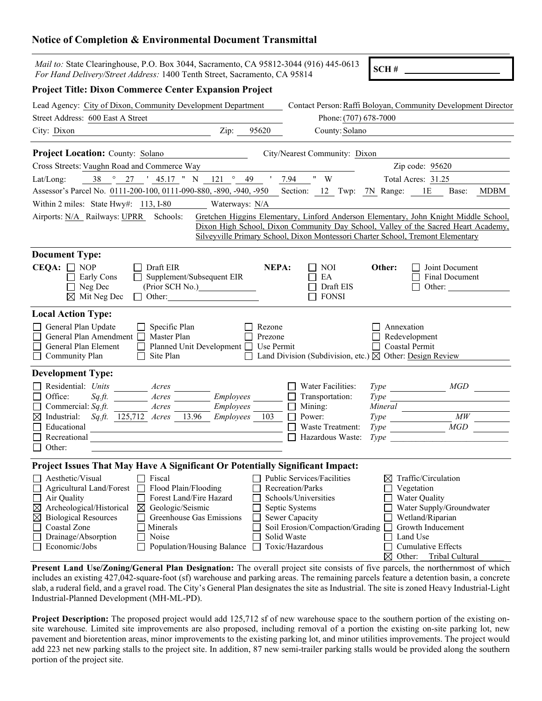## **Notice of Completion & Environmental Document Transmittal**

| <i>Mail to:</i> State Clearinghouse, P.O. Box 3044, Sacramento, CA 95812-3044 (916) 445-0613<br>For Hand Delivery/Street Address: 1400 Tenth Street, Sacramento, CA 95814                          |                                                                                                                                                                   |                                                                                        |                                                                                       | SCH#                                                 |                                                                                                                                                                            |  |
|----------------------------------------------------------------------------------------------------------------------------------------------------------------------------------------------------|-------------------------------------------------------------------------------------------------------------------------------------------------------------------|----------------------------------------------------------------------------------------|---------------------------------------------------------------------------------------|------------------------------------------------------|----------------------------------------------------------------------------------------------------------------------------------------------------------------------------|--|
| <b>Project Title: Dixon Commerce Center Expansion Project</b>                                                                                                                                      |                                                                                                                                                                   |                                                                                        |                                                                                       |                                                      |                                                                                                                                                                            |  |
| Lead Agency: City of Dixon, Community Development Department                                                                                                                                       |                                                                                                                                                                   |                                                                                        |                                                                                       |                                                      | Contact Person: Raffi Boloyan, Community Development Director                                                                                                              |  |
| Street Address: 600 East A Street                                                                                                                                                                  |                                                                                                                                                                   |                                                                                        | Phone: (707) 678-7000                                                                 |                                                      |                                                                                                                                                                            |  |
| City: Dixon                                                                                                                                                                                        | Zip:                                                                                                                                                              | 95620                                                                                  | County: Solano                                                                        |                                                      |                                                                                                                                                                            |  |
| <b>Project Location:</b> County: Solano                                                                                                                                                            |                                                                                                                                                                   |                                                                                        | City/Nearest Community: Dixon                                                         |                                                      |                                                                                                                                                                            |  |
| Cross Streets: Vaughn Road and Commerce Way                                                                                                                                                        |                                                                                                                                                                   | Zip code: 95620                                                                        |                                                                                       |                                                      |                                                                                                                                                                            |  |
| 38<br>$\circ$<br>27<br>Lat/Long:                                                                                                                                                                   |                                                                                                                                                                   | $'$ 45.17 " N 121 $\degree$ 49 ' 7.94<br>$"$ $ \mbox{W}$<br>Total Acres: 31.25         |                                                                                       |                                                      |                                                                                                                                                                            |  |
| Assessor's Parcel No. 0111-200-100, 0111-090-880, -890, -940, -950 Section: 12 Twp: 7N Range: 1E<br>MDBM<br>Base:                                                                                  |                                                                                                                                                                   |                                                                                        |                                                                                       |                                                      |                                                                                                                                                                            |  |
| Within 2 miles: State Hwy#: 113, I-80                                                                                                                                                              |                                                                                                                                                                   | Waterways: N/A                                                                         |                                                                                       |                                                      |                                                                                                                                                                            |  |
| Airports: N/A_Railways: UPRR_Schools:                                                                                                                                                              |                                                                                                                                                                   |                                                                                        | Silveyville Primary School, Dixon Montessori Charter School, Tremont Elementary       |                                                      | Gretchen Higgins Elementary, Linford Anderson Elementary, John Knight Middle School,<br>Dixon High School, Dixon Community Day School, Valley of the Sacred Heart Academy, |  |
| <b>Document Type:</b>                                                                                                                                                                              |                                                                                                                                                                   |                                                                                        |                                                                                       |                                                      |                                                                                                                                                                            |  |
| $CEQA: \Box NOP$<br>Early Cons<br>Neg Dec<br>$\boxtimes$ Mit Neg Dec                                                                                                                               | Draft EIR<br>Supplement/Subsequent EIR<br>(Prior SCH No.)<br>Other:<br>$\mathsf{L}$                                                                               | NEPA:                                                                                  | NOI<br>EA<br>Draft EIS<br><b>FONSI</b>                                                | Other:                                               | Joint Document<br>Final Document<br>Other:                                                                                                                                 |  |
| <b>Local Action Type:</b><br>General Plan Update<br>General Plan Amendment<br>General Plan Element<br>□ Community Plan                                                                             | Specific Plan<br>Master Plan<br>Planned Unit Development □<br>Site Plan                                                                                           | Rezone<br>Prezone<br>Use Permit                                                        | Land Division (Subdivision, etc.) $\boxtimes$ Other: Design Review                    | Annexation<br>Redevelopment<br><b>Coastal Permit</b> |                                                                                                                                                                            |  |
| <b>Development Type:</b>                                                                                                                                                                           |                                                                                                                                                                   |                                                                                        |                                                                                       |                                                      |                                                                                                                                                                            |  |
| Residential: Units                                                                                                                                                                                 | Acres                                                                                                                                                             |                                                                                        | Water Facilities:                                                                     |                                                      |                                                                                                                                                                            |  |
| Office:<br>$Sqzft$ .                                                                                                                                                                               | <i>Employees</i><br>Acres                                                                                                                                         |                                                                                        | Transportation:                                                                       | <i>Type</i>                                          |                                                                                                                                                                            |  |
| Commercial: $Sq.ft$ .<br>$\boxtimes$ Industrial:<br>Sq.ft. 125,712 Acres                                                                                                                           | Acres<br>Employees<br>13.96<br>Employees                                                                                                                          | 103                                                                                    | Mining:<br>Power:                                                                     | Mineral<br><i>Type</i>                               | MW                                                                                                                                                                         |  |
| Educational                                                                                                                                                                                        |                                                                                                                                                                   |                                                                                        | Waste Treatment:                                                                      | <i>Type</i>                                          | MGD                                                                                                                                                                        |  |
| $\Box$ Recreational                                                                                                                                                                                |                                                                                                                                                                   |                                                                                        | Hazardous Waste:                                                                      | <i>Type</i>                                          |                                                                                                                                                                            |  |
| $\Box$ Other:                                                                                                                                                                                      |                                                                                                                                                                   |                                                                                        |                                                                                       |                                                      |                                                                                                                                                                            |  |
| Project Issues That May Have A Significant Or Potentially Significant Impact:                                                                                                                      |                                                                                                                                                                   |                                                                                        |                                                                                       |                                                      |                                                                                                                                                                            |  |
| Aesthetic/Visual<br>Agricultural Land/Forest<br>Air Quality<br>Archeological/Historical<br>⊠<br><b>Biological Resources</b><br>$\boxtimes$<br>Coastal Zone<br>Drainage/Absorption<br>Economic/Jobs | Fiscal<br>Flood Plain/Flooding<br>Forest Land/Fire Hazard<br>Geologic/Seismic<br>⊠<br>Greenhouse Gas Emissions<br>Minerals<br>Noise<br>Population/Housing Balance | Recreation/Parks<br>Septic Systems<br>Sewer Capacity<br>Solid Waste<br>Toxic/Hazardous | Public Services/Facilities<br>Schools/Universities<br>Soil Erosion/Compaction/Grading | Vegetation<br>Water Quality<br>Land Use              | Traffic/Circulation<br>Water Supply/Groundwater<br>Wetland/Riparian<br>Growth Inducement<br>Cumulative Effects<br>$\nabla$ Other Tribel Cultural                           |  |

 $\boxtimes$  Other: Tribal Cultural **Present Land Use/Zoning/General Plan Designation:** The overall project site consists of five parcels, the northernmost of which includes an existing 427,042-square-foot (sf) warehouse and parking areas. The remaining parcels feature a detention basin, a concrete slab, a ruderal field, and a gravel road. The City's General Plan designates the site as Industrial. The site is zoned Heavy Industrial-Light Industrial-Planned Development (MH-ML-PD).

**Project Description:** The proposed project would add 125,712 sf of new warehouse space to the southern portion of the existing onsite warehouse. Limited site improvements are also proposed, including removal of a portion the existing on-site parking lot, new pavement and bioretention areas, minor improvements to the existing parking lot, and minor utilities improvements. The project would add 223 net new parking stalls to the project site. In addition, 87 new semi-trailer parking stalls would be provided along the southern portion of the project site.